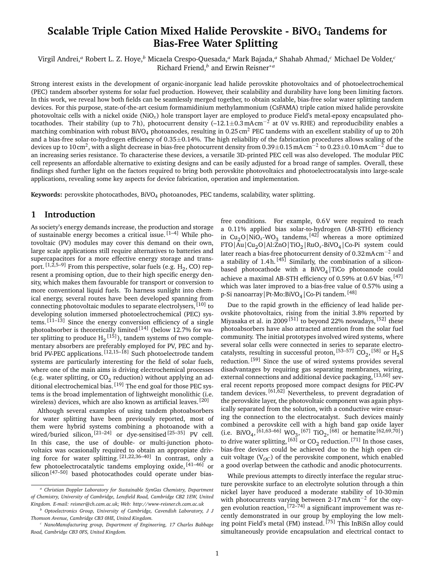# **Scalable Triple Cation Mixed Halide Perovskite - BiVO**4 **Tandems for Bias-Free Water Splitting**

Virgil Andrei,*<sup>a</sup>* Robert L. Z. Hoye,*<sup>b</sup>* Micaela Crespo-Quesada,*<sup>a</sup>* Mark Bajada,*<sup>a</sup>* Shahab Ahmad,*<sup>c</sup>* Michael De Volder,*<sup>c</sup>* Richard Friend,*<sup>b</sup>* and Erwin Reisner∗*<sup>a</sup>*

Strong interest exists in the development of organic-inorganic lead halide perovskite photovoltaics and of photoelectrochemical (PEC) tandem absorber systems for solar fuel production. However, their scalability and durability have long been limiting factors. In this work, we reveal how both fields can be seamlessly merged together, to obtain scalable, bias-free solar water splitting tandem devices. For this purpose, state-of-the-art cesium formamidinium methylammonium (CsFAMA) triple cation mixed halide perovskite photovoltaic cells with a nickel oxide  $(NiO<sub>x</sub>)$  hole transport layer are employed to produce Field's metal-epoxy encapsulated photocathodes. Their stability (up to 7h), photocurrent density (-12.1±0.3mAcm<sup>-2</sup> at 0V vs.RHE) and reproducibility enables a matching combination with robust BiVO<sub>4</sub> photoanodes, resulting in 0.25 cm<sup>2</sup> PEC tandems with an excellent stability of up to 20 h and a bias-free solar-to-hydrogen efficiency of 0.35±0.14%. The high reliability of the fabrication procedures allows scaling of the devices up to 10 cm<sup>2</sup>, with a slight decrease in bias-free photocurrent density from 0.39±0.15 mAcm<sup>-2</sup> to 0.23±0.10 mAcm<sup>-2</sup> due to an increasing series resistance. To characterise these devices, a versatile 3D-printed PEC cell was also developed. The modular PEC cell represents an affordable alternative to existing designs and can be easily adjusted for a broad range of samples. Overall, these findings shed further light on the factors required to bring both perovskite photovoltaics and photoelectrocatalysis into large-scale applications, revealing some key aspects for device fabrication, operation and implementation.

**Keywords:** perovskite photocathodes, BiVO4 photoanodes, PEC tandems, scalability, water splitting.

# **1 Introduction**

As society's energy demands increase, the production and storage of sustainable energy becomes a critical issue. [1–4] While photovoltaic (PV) modules may cover this demand on their own, large scale applications still require alternatives to batteries and supercapacitors for a more effective energy storage and transport.  $^{[1,2,5-9]}$  From this perspective, solar fuels (e.g.  $H_2$ , CO) represent a promising option, due to their high specific energy density, which makes them favourable for transport or conversion to more conventional liquid fuels. To harness sunlight into chemical energy, several routes have been developed spanning from connecting photovoltaic modules to separate electrolysers, [10] to developing solution immersed photoelectrochemical (PEC) systems.  $\left[11-13\right]$  Since the energy conversion efficiency of a single photoabsorber is theoretically limited  $[14]$  (below 12.7% for water splitting to produce  $H_2^{\{15\}}$ ), tandem systems of two complementary absorbers are preferably employed for PV, PEC and hybrid PV-PEC applications. [12,15-18] Such photoelectrode tandem systems are particularly interesting for the field of solar fuels, where one of the main aims is driving electrochemical processes (e.g. water splitting, or  $CO_2$  reduction) without applying an additional electrochemical bias.  $[19]$  The end goal for those PEC systems is the broad implementation of lightweight monolithic (i.e. wireless) devices, which are also known as artificial leaves. [20]

Although several examples of using tandem photoabsorbers for water splitting have been previously reported, most of them were hybrid systems combining a photoanode with a wired/buried silicon,  $[21-24]$  or dye-sensitised  $[25-35]$  PV cell. In this case, the use of double- or multi-junction photovoltaics was ocasionally required to obtain an appropiate driving force for water splitting. [21,22,36–40] In contrast, only a few photoelectrocatalytic tandems employing oxide, [41–46] or silicon<sup>[47-50]</sup> based photocathodes could operate under biasfree conditions. For example, 0.6V were required to reach a 0.11% applied bias solar-to-hydrogen (AB-STH) efficiency in  $Cu_2O|NiO_x-WO_3$  tandems, <sup>[42]</sup> whereas a more optimized FTO|Au|Cu2O|Al:ZnO|TiO<sup>2</sup> |RuO*x*-BiVO<sup>4</sup> |Co-Pi system could later reach a bias-free photocurrent density of 0.32mA cm−<sup>2</sup> and a stability of 1.4h.  $[45]$  Similarly, the combination of a siliconbased photocathode with a  $\rm BiVO_4/\rm TiCo$  photoanode could achieve a maximal AB-STH efficiency of 0.59% at 0.6V bias, [47] which was later improved to a bias-free value of 0.57% using a p-Si nanoarray|Pt-Mo:BiVO<sub>4</sub>|Co-Pi tandem. <sup>[48]</sup>

Due to the rapid growth in the efficiency of lead halide perovskite photovoltaics, rising from the initial 3.8% reported by Miyasaka et al. in 2009<sup>[51]</sup> to beyond 22% nowadays, <sup>[52]</sup> these photoabsorbers have also attracted attention from the solar fuel community. The initial prototypes involved wired systems, where several solar cells were connected in series to separate electrocatalysts, resulting in successful proton,  $^{[53-57]}$  CO<sub>2</sub>,  $^{[58]}$  or H<sub>2</sub>S reduction. [59] Since the use of wired systems provides several disadvantages by requiring gas separating membranes, wiring, external connections and additional device packaging, [13,60] several recent reports proposed more compact designs for PEC-PV tandem devices.  $[61, 62]$  Nevertheless, to prevent degradation of the perovskite layer, the photovoltaic component was again physically separated from the solution, with a conductive wire ensuring the connection to the electrocatalyst. Such devices mainly combined a perovskite cell with a high band gap oxide layer (i.e. BiVO<sub>4</sub>,<sup>[61,63–66]</sup> WO<sub>3</sub>,<sup>[67]</sup> TiO<sub>2</sub>,<sup>[68]</sup> or hematite<sup>[62,69,70]</sup>) to drive water splitting,  $^{[63]}$  or CO<sub>2</sub> reduction.  $^{[71]}$  In those cases, bias-free devices could be achieved due to the high open circuit voltage  $(V<sub>OC</sub>)$  of the perovskite component, which enabled a good overlap between the cathodic and anodic photocurrents.

While previous attempts to directly interface the regular structure perovskite surface to an electrolyte solution through a thin nickel layer have produced a moderate stability of 10-30min with photocurrents varying between 2-17mAcm−<sup>2</sup> for the oxygen evolution reaction, <sup>[72–74]</sup> a significant improvement was recently demonstrated in our group by employing the low melting point Field's metal (FM) instead. [75] This InBiSn alloy could simultaneously provide encapsulation and electrical contact to

*<sup>a</sup> Christian Doppler Laboratory for Sustainable SynGas Chemistry, Department of Chemistry, University of Cambridge, Lensfield Road, Cambridge CB2 1EW, United Kingdom. E-mail: reisner@ch.cam.ac.uk; Web: http://www-reisner.ch.cam.ac.uk*

*<sup>b</sup> Optoelectronics Group, University of Cambridge, Cavendish Laboratory, J J Thomson Avenue, Cambridge CB3 0HE, United Kingdom.*

*<sup>c</sup> NanoManufacturing group, Department of Engineering, 17 Charles Babbage Road, Cambridge CB3 0FS, United Kingdom.*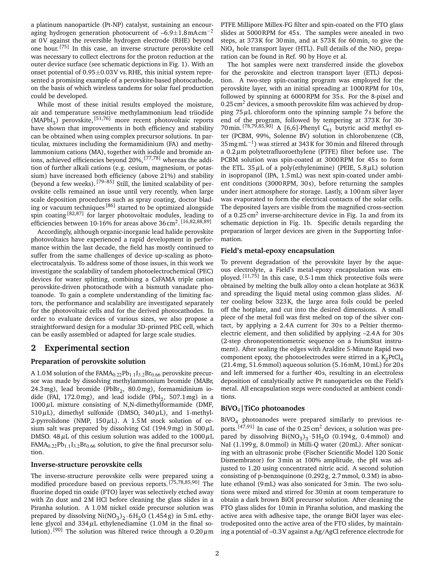a platinum nanoparticle (Pt-NP) catalyst, sustaining an encouraging hydrogen generation photocurrent of  $-6.9\pm1.8$  mAcm<sup>-2</sup> at 0V against the reversible hydrogen electrode (RHE) beyond one hour. [75] In this case, an inverse structure perovskite cell was necessary to collect electrons for the proton reduction at the outer device surface (see schematic depictions in Fig. 1). With an onset potential of  $0.95 \pm 0.03$  V vs. RHE, this initial system represented a promising example of a perovskite-based photocathode, on the basis of which wireless tandems for solar fuel production could be developed.

While most of these initial results employed the moisture, air and temperature sensitive methylammonium lead triiodide  $(MAPbI<sub>3</sub>)$  perovskite, <sup>[51,76]</sup> more recent photovoltaic reports have shown that improvements in both efficiency and stability can be obtained when using complex precursor solutions. In particular, mixtures including the formamidinium (FA) and methylammonium cations (MA), together with iodide and bromide anions, achieved efficiencies beyond 20%, [77,78] whereas the addition of further alkali cations (e.g. cesium, magnesium, or potassium) have increased both efficiency (above 21%) and stability (beyond a few weeks). [79–85] Still, the limited scalability of perovskite cells remained an issue until very recently, when large scale deposition procedures such as spray coating, doctor blading or vacuum techniques [86] started to be optimized alongside spin coating[82,87] for larger photovoltaic modules, leading to efficiencies between 10-16% for areas above 36 cm<sup>2</sup>.<sup>[16,82,88,89]</sup>

Accordingly, although organic-inorganic lead halide perovskite photovoltaics have experienced a rapid development in performance within the last decade, the field has mostly continued to suffer from the same challenges of device up-scaling as photoelectrocatalysis. To address some of those issues, in this work we investigate the scalability of tandem photoelectrochemical (PEC) devices for water splitting, combining a CsFAMA triple cation perovskite-driven photocathode with a bismuth vanadate photoanode. To gain a complete understanding of the limiting factors, the performance and scalability are investigated separately for the photovoltaic cells and for the derived photocathodes. In order to evaluate devices of various sizes, we also propose a straightforward design for a modular 3D-printed PEC cell, which can be easily assembled or adapted for large scale studies.

# **2 Experimental section**

# **Preparation of perovskite solution**

A 1.0M solution of the  $FAMA_{0.22}Pb_{1.1}I_{3.2}Br_{0.66}$  perovskite precursor was made by dissolving methylammonium bromide (MABr,  $24.3 \,\text{mg}$ ), lead bromide (Pb $Br_2$ ,  $80.0 \,\text{mg}$ ), formamidinium iodide (FAI, 172.0mg), and lead iodide (PbI $_2$ , 507.1mg) in a  $1000 \,\mu$ L mixture consisting of N,N-dimethylformamide (DMF,  $510 \,\mu$ L), dimethyl sulfoxide (DMSO,  $340 \,\mu$ L), and 1-methyl-2-pyrrolidone (NMP,  $150 \mu L$ ). A 1.5M stock solution of cesium salt was prepared by dissolving CsI (194.9mg) in  $500 \mu L$ DMSO. 48 $\mu$ L of this cesium solution was added to the 1000 $\mu$ L  $FAMA_{0.22}Pb_{1.1}I_{3.2}Br_{0.66}$  solution, to give the final precursor solution.

# **Inverse-structure perovskite cells**

The inverse-structure perovskite cells were prepared using a modified procedure based on previous reports. [75,78,85,90] The fluorine doped tin oxide (FTO) layer was selectively etched away with Zn dust and 2M HCl before cleaning the glass slides in a Piranha solution. A 1.0M nickel oxide precursor solution was prepared by dissolving  $Ni(NO<sub>3</sub>)<sub>2</sub> · 6H<sub>2</sub>O$  (1.454g) in 5mL ethylene glycol and  $334\mu$ L ethylenediamine (1.0M in the final solution). [90] The solution was filtered twice through a  $0.20 \mu m$  PTFE Millipore Millex-FG filter and spin-coated on the FTO glass slides at 5000RPM for 45 s. The samples were anealed in two steps, at 373K for 30min, and at 573K for 60min, to give the  $NiO<sub>x</sub>$  hole transport layer (HTL). Full details of the  $NiO<sub>x</sub>$  preparation can be found in Ref. 90 by Hoye et al.

The hot samples were next transferred inside the glovebox for the perovskite and electron transport layer (ETL) deposition. A two-step spin-coating program was employed for the perovskite layer, with an initial spreading at 1000RPM for 10s, followed by spinning at 6000RPM for 35 s. For the 8-pixel and  $0.25 \text{ cm}^2$  devices, a smooth perovskite film was achieved by dropping  $75 \mu$ L chloroform onto the spinning sample 7s before the end of the program, followed by tempering at 373K for 30- 70min. <sup>[78,79,85,90]</sup> A [6,6]-Phenyl C<sub>61</sub> butyric acid methyl ester (PCBM, 99%, Solenne BV) solution in chlorobenzene (CB, 35mgmL−<sup>1</sup> ) was stirred at 343K for 30min and filtered through a  $0.2 \mu$ m polytetrafluoroethylene (PTFE) filter before use. The PCBM solution was spin-coated at 3000RPM for 45s to form the ETL. 35 $\mu$ L of a poly(ethylenimine) (PEIE, 5.8 $\mu$ L) solution in isopropanol (IPA, 1.5mL) was next spin-coated under ambient conditions (3000RPM, 30s), before returning the samples under inert atmosphere for storage. Lastly, a 100nm silver layer was evaporated to form the electrical contacts of the solar cells. The deposited layers are visible from the magnified cross-section of a 0.25 cm<sup>2</sup> inverse-architecture device in Fig. 1a and from its schematic depiction in Fig. 1b. Specific details regarding the preparation of larger devices are given in the Supporting Information.

#### **Field's metal-epoxy encapsulation**

To prevent degradation of the perovskite layer by the aqueous electrolyte, a Field's metal-epoxy encapsulation was employed.  $[11,75]$  In this case, 0.5-1 mm thick protective foils were obtained by melting the bulk alloy onto a clean hotplate at 363K and spreading the liquid metal using common glass slides. After cooling below 323K, the large area foils could be peeled off the hotplate, and cut into the desired dimensions. A small piece of the metal foil was first melted on top of the silver contact, by applying a 2.4A current for 30s to a Peltier thermoelectric element, and then solidified by applying –2.4A for 30 s (2-step chronopotentiometric sequence on a IviumStat instrument). After sealing the edges with Araldite 5-Minute Rapid two component epoxy, the photoelectrodes were stirred in a  $\mathrm{K_2PtCl_4}$ (21.4mg, 51.6mmol) aqueous solution (5.16mM, 10mL) for 20 s and left immersed for a further 40 s, resulting in an electroless deposition of catalytically active Pt nanoparticles on the Field's metal. All encapsulation steps were conducted at ambient conditions.

## **BiVO**4**|TiCo photoanodes**

BiVO<sup>4</sup> photoanodes were prepared similarly to previous reports.  $[47,91]$  In case of the 0.25 cm<sup>2</sup> devices, a solution was prepared by dissolving  $Bi(NO<sub>3</sub>)<sub>3</sub> \cdot 5H<sub>2</sub>O$  (0.194g, 0.4mmol) and NaI (1.199g, 8.0mmol) in Milli-Q water (20mL). After sonicating with an ultrasonic probe (Fischer Scientific Model 120 Sonic Dismembrator) for 3min at 100% amplitude, the pH was adjusted to 1.20 using concentrated nitric acid. A second solution consisting of p-benzoquinone (0.292 g, 2.7mmol, 0.3M) in absolute ethanol (9mL) was also sonicated for 3min. The two solutions were mixed and stirred for 30min at room temperature to obtain a dark brown BiOI precursor solution. After cleaning the FTO glass slides for 10min in Piranha solution, and masking the active area with adhesive tape, the orange BiOI layer was electrodeposited onto the active area of the FTO slides, by maintaining a potential of –0.3V against a Ag/AgCl reference electrode for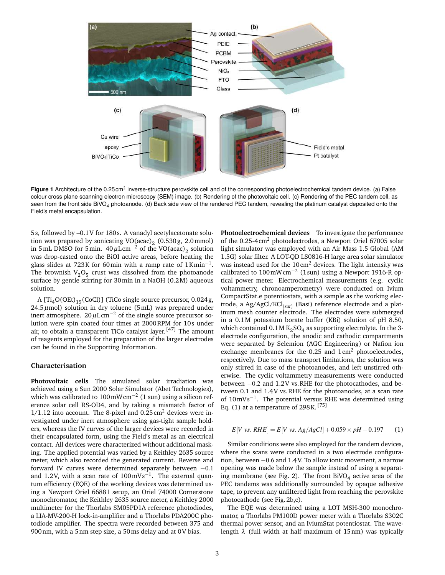

Figure 1 Architecture of the 0.25 cm<sup>2</sup> inverse-structure perovskite cell and of the corresponding photoelectrochemical tandem device. (a) False colour cross plane scanning electron microscopy (SEM) image. (b) Rendering of the photovoltaic cell. (c) Rendering of the PEC tandem cell, as seen from the front side BiVO<sub>4</sub> photoanode. (d) Back side view of the rendered PEC tandem, revealing the platinum catalyst deposited onto the Field's metal encapsulation.

5 s, followed by –0.1V for 180 s. A vanadyl acetylacetonate solution was prepared by sonicating  $VO(acac)_2$  (0.530g, 2.0mmol) in 5 mL DMSO for 5 min.  $40 \mu L \text{cm}^{-2}$  of the VO(acac)<sub>2</sub> solution was drop-casted onto the BiOI active areas, before heating the glass slides at 723K for 60min with a ramp rate of  $1$ Kmin<sup>-1</sup>. The brownish  $V_2O_5$  crust was dissolved from the photoanode surface by gentle stirring for 30min in a NaOH (0.2M) aqueous solution.

A  $[Ti<sub>4</sub>O(OEt)<sub>15</sub>(CoCl)]$  (TiCo single source precursor, 0.024g,  $24.5 \,\mu$ mol) solution in dry toluene (5mL) was prepared under inert atmosphere.  $20 \mu L \text{cm}^{-2}$  of the single source precursor solution were spin coated four times at 2000RPM for 10s under air, to obtain a transparent TiCo catalyst layer. [47] The amount of reagents employed for the preparation of the larger electrodes can be found in the Supporting Information.

# **Characterisation**

**Photovoltaic cells** The simulated solar irradiation was achieved using a Sun 2000 Solar Simulator (Abet Technologies), which was calibrated to 100 mW cm<sup>-2</sup> (1 sun) using a silicon reference solar cell RS-OD4, and by taking a mismatch factor of  $1/1.12$  into account. The 8-pixel and 0.25 cm<sup>2</sup> devices were investigated under inert atmosphere using gas-tight sample holders, whereas the IV curves of the larger devices were recorded in their encapsulated form, using the Field's metal as an electrical contact. All devices were characterized without additional masking. The applied potential was varied by a Keithley 2635 source meter, which also recorded the generated current. Reverse and forward IV curves were determined separately between −0.1 and 1.2V, with a scan rate of  $100 \text{ mV s}^{-1}$ . The external quantum efficiency (EQE) of the working devices was determined using a Newport Oriel 66881 setup, an Oriel 74000 Cornerstone monochromator, the Keithley 2635 source meter, a Keithley 2000 multimeter for the Thorlabs SM05PD1A reference photodiodes, a LIA-MV-200-H lock-in-amplifier and a Thorlabs PDA200C photodiode amplifier. The spectra were recorded between 375 and 900nm, with a 5nm step size, a 50ms delay and at 0V bias.

**Photoelectrochemical devices** To investigate the performance of the 0.25-4cm<sup>2</sup> photoelectrodes, a Newport Oriel 67005 solar light simulator was employed with an Air Mass 1.5 Global (AM 1.5G) solar filter. A LOT-QD LS0816-H large area solar simulator was instead used for the 10cm<sup>2</sup> devices. The light intensity was calibrated to 100mWcm−<sup>2</sup> (1 sun) using a Newport 1916-R optical power meter. Electrochemical measurements (e.g. cyclic voltammetry, chronoamperometry) were conducted on Ivium CompactStat.e potentiostats, with a sample as the working electrode, a Ag/AgCl/KCl<sub>(sat)</sub> (Basi) reference electrode and a platinum mesh counter electrode. The electrodes were submerged in a 0.1M potassium borate buffer (KBi) solution of pH 8.50, which contained  $0.1$  M  $\rm K_2SO_4$  as supporting electrolyte. In the 3electrode configuration, the anodic and cathodic compartments were separated by Selemion (AGC Engineering) or Nafion ion exchange membranes for the 0.25 and  $1 \text{ cm}^2$  photoelectrodes, respectively. Due to mass transport limitations, the solution was only stirred in case of the photoanodes, and left unstirred otherwise. The cyclic voltammetry measurements were conducted between −0.2 and 1.2V vs.RHE for the photocathodes, and between 0.1 and 1.4V vs.RHE for the photoanodes, at a scan rate of 10mVs<sup>-1</sup>. The potential versus RHE was determined using Eq.  $(1)$  at a temperature of 298K. [75]

$$
E[V \text{ vs. } RHE] = E[V \text{ vs. } Ag / AgCl] + 0.059 \times pH + 0.197 \tag{1}
$$

Similar conditions were also employed for the tandem devices, where the scans were conducted in a two electrode configuration, between −0.6 and 1.4V. To allow ionic movement, a narrow opening was made below the sample instead of using a separating membrane (see Fig. 2). The front  ${\rm BiVO}_4$  active area of the PEC tandems was additionally surrounded by opaque adhesive tape, to prevent any unfiltered light from reaching the perovskite photocathode (see Fig.2b,c).

The EQE was determined using a LOT MSH-300 monochromator, a Thorlabs PM100D power meter with a Thorlabs S302C thermal power sensor, and an IviumStat potentiostat. The wavelength  $\lambda$  (full width at half maximum of 15nm) was typically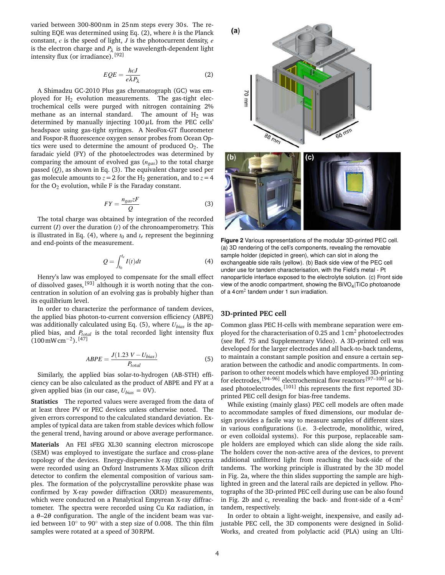varied between 300-800nm in 25nm steps every 30 s. The resulting EQE was determined using Eq. (2), where *h* is the Planck constant, *c* is the speed of light, *J* is the photocurrent density, *e* is the electron charge and  $P_\lambda$  is the wavelength-dependent light intensity flux (or irradiance). [92]

$$
EQE = \frac{hcJ}{e\lambda P_{\lambda}}\tag{2}
$$

A Shimadzu GC-2010 Plus gas chromatograph (GC) was employed for  $H_2$  evolution measurements. The gas-tight electrochemical cells were purged with nitrogen containing 2% methane as an internal standard. The amount of  $H_2$  was determined by manually injecting  $100 \mu$ L from the PEC cells' headspace using gas-tight syringes. A NeoFox-GT fluorometer and Fospor-R fluorescence oxygen sensor probes from Ocean Optics were used to determine the amount of produced  $O_2$ . The faradaic yield (FY) of the photoelectrodes was determined by comparing the amount of evolved gas (*ngas*) to the total charge passed (*Q*), as shown in Eq. (3). The equivalent charge used per gas molecule amounts to  $z = 2$  for the H<sub>2</sub> generation, and to  $z = 4$ for the  $O<sub>2</sub>$  evolution, while F is the Faraday constant.

$$
FY = \frac{n_{gas}zF}{Q} \tag{3}
$$

The total charge was obtained by integration of the recorded current (*I*) over the duration (*t*) of the chronoamperometry. This is illustrated in Eq. (4), where  $t_0$  and  $t_e$  represent the beginning and end-points of the measurement.

$$
Q = \int_{t_0}^{t_e} I(t)dt
$$
 (4)

Henry's law was employed to compensate for the small effect of dissolved gases,  $[93]$  although it is worth noting that the concentration in solution of an evolving gas is probably higher than its equilibrium level.

In order to characterize the performance of tandem devices, the applied bias photon-to-current conversion efficiency (ABPE) was additionally calculated using Eq. (5), where *Ubias* is the applied bias, and  $P_{total}$  is the total recorded light intensity flux (100 mWcm<sup>-2</sup>).<sup>[47]</sup>

$$
ABPE = \frac{J(1.23 V - U_{bias})}{P_{total}}
$$
\n<sup>(5)</sup>

Similarly, the applied bias solar-to-hydrogen (AB-STH) efficiency can be also calculated as the product of ABPE and FY at a given applied bias (in our case,  $U_{bias} = 0$ V).

**Statistics** The reported values were averaged from the data of at least three PV or PEC devices unless otherwise noted. The given errors correspond to the calculated standard deviation. Examples of typical data are taken from stable devices which follow the general trend, having around or above average performance.

**Materials** An FEI sFEG XL30 scanning electron microscope (SEM) was employed to investigate the surface and cross-plane topology of the devices. Energy-dispersive X-ray (EDX) spectra were recorded using an Oxford Instruments X-Max silicon drift detector to confirm the elemental composition of various samples. The formation of the polycrystalline perovskite phase was confirmed by X-ray powder diffraction (XRD) measurements, which were conducted on a Panalytical Empyrean X-ray diffractometer. The spectra were recorded using Cu K $\alpha$  radiation, in a  $\theta$ –2 $\theta$  configuration. The angle of the incident beam was varied between  $10^{\circ}$  to  $90^{\circ}$  with a step size of 0.008. The thin film samples were rotated at a speed of 30RPM.



**Figure 2** Various representations of the modular 3D-printed PEC cell. (a) 3D rendering of the cell's components, revealing the removable sample holder (depicted in green), which can slot in along the exchangeable side rails (yellow). (b) Back side view of the PEC cell under use for tandem characterisation, with the Field's metal - Pt nanoparticle interface exposed to the electrolyte solution. (c) Front side view of the anodic compartment, showing the BiVO $_4$ |TiCo photoanode of a 4 cm<sup>2</sup> tandem under 1 sun irradiation.

## **3D-printed PEC cell**

Common glass PEC H-cells with membrane separation were employed for the characterisation of 0.25 and  $1 \text{ cm}^2$  photoelectrodes (see Ref. 75 and Supplementary Video). A 3D-printed cell was developed for the larger electrodes and all back-to-back tandems, to maintain a constant sample position and ensure a certain separation between the cathodic and anodic compartments. In comparison to other recent models which have employed 3D-printing for electrodes, <sup>[94–96]</sup> electrochemical flow reactors <sup>[97–100]</sup> or biased photoelectrodes, <sup>[101]</sup> this represents the first reported 3Dprinted PEC cell design for bias-free tandems.

While existing (mainly glass) PEC cell models are often made to accommodate samples of fixed dimensions, our modular design provides a facile way to measure samples of different sizes in various configurations (i.e. 3-electrode, monolithic, wired, or even colloidal systems). For this purpose, replaceable sample holders are employed which can slide along the side rails. The holders cover the non-active area of the devices, to prevent additional unfiltered light from reaching the back-side of the tandems. The working principle is illustrated by the 3D model in Fig. 2a, where the thin slides supporting the sample are highlighted in green and the lateral rails are depicted in yellow. Photographs of the 3D-printed PEC cell during use can be also found in Fig. 2b and c, revealing the back- and front-side of a  $4 \text{ cm}^2$ tandem, respectively.

In order to obtain a light-weight, inexpensive, and easily adjustable PEC cell, the 3D components were designed in Solid-Works, and created from polylactic acid (PLA) using an Ulti-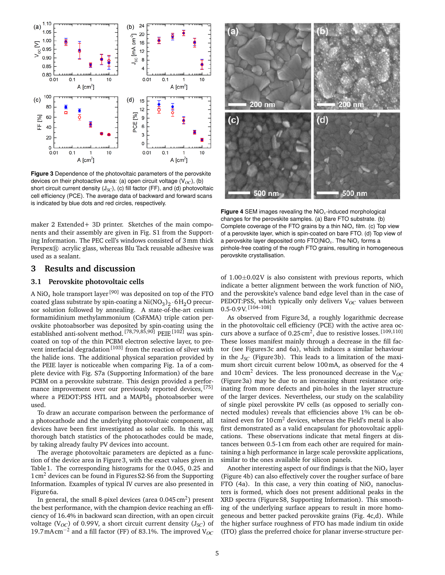

**Figure 3** Dependence of the photovoltaic parameters of the perovskite devices on their photoactive area: (a) open circuit voltage  $(V_{OC})$ , (b) short circuit current density (J<sub>SC</sub>), (c) fill factor (FF), and (d) photovoltaic cell efficiency (PCE). The average data of backward and forward scans is indicated by blue dots and red circles, respectively.

maker 2 Extended+ 3D printer. Sketches of the main components and their assembly are given in Fig. S1 from the Supporting Information. The PEC cell's windows consisted of 3mm thick  $PersonER$  acrylic glass, whereas Blu Tack reusable adhesive was used as a sealant.

# **3 Results and discussion**

# **3.1 Perovskite photovoltaic cells**

A NiO<sub>x</sub> hole transport layer<sup>[90]</sup> was deposited on top of the FTO coated glass substrate by spin-coating a  $\mathrm{Ni}(\mathrm{NO}_3)_2$   $\cdot$  6H $_2$ O precursor solution followed by annealing. A state-of-the-art cesium formamidinium methylammonium (CsFAMA) triple cation perovskite photoabsorber was deposited by spin-coating using the established anti-solvent method. <sup>[78,79,85,90]</sup> PEIE<sup>[102]</sup> was spincoated on top of the thin PCBM electron selective layer, to prevent interfacial degradation<sup>[103]</sup> from the reaction of silver with the halide ions. The additional physical separation provided by the PEIE layer is noticeable when comparing Fig. 1a of a complete device with Fig. S7a (Supporting Information) of the bare PCBM on a perovskite substrate. This design provided a performance improvement over our previously reported devices,  $^{[75]}$ where a PEDOT:PSS HTL and a MAPbI $_3$  photoabsorber were used.

To draw an accurate comparison between the performance of a photocathode and the underlying photovoltaic component, all devices have been first investigated as solar cells. In this way, thorough batch statistics of the photocathodes could be made, by taking already faulty PV devices into account.

The average photovoltaic parameters are depicted as a function of the device area in Figure3, with the exact values given in Table1. The corresponding histograms for the 0.045, 0.25 and  $1 \text{ cm}^2$  devices can be found in Figures S2-S6 from the Supporting Information. Examples of typical IV curves are also presented in Figure<sub>6a</sub>.

In general, the small 8-pixel devices (area 0.045  $\rm cm^2$ ) present the best performance, with the champion device reaching an efficiency of 16.4% in backward scan direction, with an open circuit voltage (V*OC*) of 0.99V, a short circuit current density (J*SC*) of 19.7mAcm−<sup>2</sup> and a fill factor (FF) of 83.1%. The improved V*OC*



**Figure 4** SEM images revealing the NiO*x*-induced morphological changes for the perovskite samples. (a) Bare FTO substrate. (b) Complete coverage of the FTO grains by a thin NiO*<sup>x</sup>* film. (c) Top view of a perovskite layer, which is spin-coated on bare FTO. (d) Top view of a perovskite layer deposited onto FTO|NiO*x*. The NiO*<sup>x</sup>* forms a pinhole-free coating of the rough FTO grains, resulting in homogeneous perovskite crystallisation.

of  $1.00\pm0.02V$  is also consistent with previous reports, which indicate a better alignment between the work function of NiO*x* and the perovskite's valence band edge level than in the case of PEDOT:PSS, which typically only delivers V<sub>OC</sub> values between  $0.5 - 0.9$  V.  $[104 - 108]$ 

As observed from Figure 3d, a roughly logarithmic decrease in the photovoltaic cell efficiency (PCE) with the active area occurs above a surface of  $0.25 \text{ cm}^2$ , due to resistive losses. [109,110] These losses manifest mainly through a decrease in the fill factor (see Figures3c and 6a), which induces a similar behaviour in the J*SC* (Figure3b). This leads to a limitation of the maximum short circuit current below 100mA, as observed for the 4 and 10cm<sup>2</sup> devices. The less pronounced decrease in the  $V_{OC}$ (Figure3a) may be due to an increasing shunt resistance originating from more defects and pin-holes in the layer structure of the larger devices. Nevertheless, our study on the scalability of single pixel perovskite PV cells (as opposed to serially connected modules) reveals that efficiencies above 1% can be obtained even for 10cm<sup>2</sup> devices, whereas the Field's metal is also first demonstrated as a valid encapsulant for photovoltaic applications. These observations indicate that metal fingers at distances between 0.5-1cm from each other are required for maintaining a high performance in large scale perovskite applications, similar to the ones available for silicon panels.

Another interesting aspect of our findings is that the NiO*x* layer (Figure 4b) can also effectively cover the rougher surface of bare FTO (4a). In this case, a very thin coating of  $NiO<sub>x</sub>$  nanoclusters is formed, which does not present additional peaks in the XRD spectra (FigureS8, Supporting Information). This smoothing of the underlying surface appears to result in more homogeneous and better packed perovskite grains (Fig. 4c,d). While the higher surface roughness of FTO has made indium tin oxide (ITO) glass the preferred choice for planar inverse-structure per-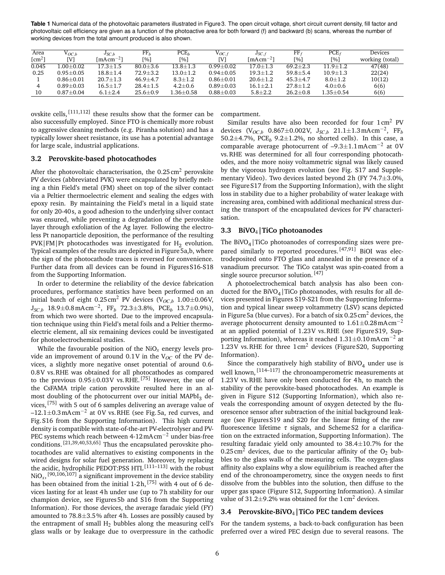**Table 1** Numerical data of the photovoltaic parameters illustrated in Figure3. The open circuit voltage, short circuit current density, fill factor and photovoltaic cell efficiency are given as a function of the photoactive area for both forward (f) and backward (b) scans, whereas the number of working devices from the total amount produced is also shown.

| Area               | $\mathrm{V}_{OC.b}$ | $J_{SC,b}$                               | ${\rm FF}_h$   | PCE <sub>b</sub>   | $\mathrm{V}_{OC.f}$ | $J_{SC,f}$                       | FF <sub>f</sub>    | $PCE_f$         | Devices         |
|--------------------|---------------------|------------------------------------------|----------------|--------------------|---------------------|----------------------------------|--------------------|-----------------|-----------------|
| [cm <sup>2</sup> ] | ſИ                  | $\lceil \text{mA} \text{cm}^{-2} \rceil$ | [%]            | [%]                | [V]                 | $\lceil \text{mAcm}^{-2} \rceil$ | $\lceil 96 \rceil$ | [%]             | working (total) |
| 0.045              | $1.00{\pm}0.02$     | $17.3 \pm 1.5$                           | $80.0 + 3.6$   | $13.8 \!\pm\! 1.3$ | $0.99 + 0.02$       | $17.0 \pm 1.3$                   | $69.2 + 2.3$       | $11.9 \pm 1.2$  | 47(48)          |
| 0.25               | $0.95 \pm 0.05$     | $18.8 \pm 1.4$                           | $72.9 \pm 3.2$ | $13.0{\pm}1.2$     | $0.94 \pm 0.05$     | $19.3 \pm 1.2$                   | $59.8 \pm 5.4$     | $10.9 \pm 1.3$  | 22(24)          |
|                    | $0.86 + 0.01$       | $20.7 \pm 1.3$                           | $46.9 + 4.7$   | $8.3 \pm 1.2$      | $0.86 + 0.01$       | $20.6 \pm 1.2$                   | $45.3 \pm 4.7$     | $8.0 + 1.2$     | 10(12)          |
|                    | $0.89 \pm 0.03$     | $16.5 \pm 1.7$                           | $28.4 \pm 1.5$ | $4.2 \pm 0.6$      | $0.89 + 0.03$       | $16.1 \pm 2.1$                   | $27.8 \pm 1.2$     | $4.0 + 0.6$     | 6(6)            |
| 10                 | $0.87 \pm 0.04$     | $6.1 \pm 2.4$                            | $25.6 \pm 0.9$ | $1.36 \pm 0.58$    | $0.88 + 0.03$       | $5.8 + 2.2$                      | $26.2 \pm 0.8$     | $1.35{\pm}0.54$ | 6(6)            |

ovskite cells, [111,112] these results show that the former can be also successfully employed. Since FTO is chemically more robust to aggressive cleaning methods (e.g. Piranha solution) and has a typically lower sheet resistance, its use has a potential advantage for large scale, industrial applications.

# **3.2 Perovskite-based photocathodes**

After the photovoltaic characterisation, the  $0.25 \text{ cm}^2$  perovskite PV devices (abbreviated PVK) were encapsulated by briefly melting a thin Field's metal (FM) sheet on top of the silver contact via a Peltier thermoelectric element and sealing the edges with epoxy resin. By maintaining the Field's metal in a liquid state for only 20-40 s, a good adhesion to the underlying silver contact was ensured, while preventing a degradation of the perovskite layer through exfoliation of the Ag layer. Following the electroless Pt nanoparticle deposition, the performance of the resulting  $\texttt{PVK}|\texttt{FM}|\texttt{Pt}$  photocathodes was investigated for  $\text{H}_{2}$  evolution. Typical examples of the results are depicted in Figure5a,b, where the sign of the photocathode traces is reversed for convenience. Further data from all devices can be found in FiguresS16-S18 from the Supporting Information.

In order to determine the reliability of the device fabrication procedures, performance statistics have been performed on an initial batch of eight  $0.25 \text{ cm}^2$  PV devices (V<sub>OC,b</sub> 1.00 $\pm$ 0.06V, <sup>J</sup>*SC*,*<sup>b</sup>* 18.9±0.8mAcm−<sup>2</sup> , FF*<sup>b</sup>* 72.3±3.8%, PCE*<sup>b</sup>* 13.7±0.9%), from which two were shorted. Due to the improved encapsulation technique using thin Field's metal foils and a Peltier thermoelectric element, all six remaining devices could be investigated for photoelectrochemical studies.

While the favourable position of the NiO*x* energy levels provide an improvement of around  $0.1V$  in the  $V_{OC}$  of the PV devices, a slightly more negative onset potential of around 0.6- 0.8V vs.RHE was obtained for all photocathodes as compared to the previous  $0.95\pm0.03$ V vs. RHE. [75] However, the use of the CsFAMA triple cation perovskite resulted here in an almost doubling of the photocurrent over our initial MAPbI $_3$  devices, [75] with 5 out of 6 samples delivering an average value of –12.1±0.3mAcm−<sup>2</sup> at 0V vs.RHE (see Fig.5a, red curves, and Fig.S16 from the Supporting Information). This high current density is compatible with state-of-the-art PV-electrolyser and PV-PEC systems which reach between 4-12mA cm−<sup>2</sup> under bias-free conditions. [21,39,40,53,65] Thus the encapsulated perovskite photocathodes are valid alternatives to existing components in the wired designs for solar fuel generation. Moreover, by replacing the acidic, hydrophilic PEDOT:PSS HTL<sup>[111-113]</sup> with the robust NiO*x*, [90,106,107] a significant improvement in the device stability has been obtained from the initial 1-2h, [75] with 4 out of 6 devices lasting for at least 4h under use (up to 7h stability for our champion device, see Figures 5b and S16 from the Supporting Information). For those devices, the average faradaic yield (FY) amounted to 78.8±3.5% after 4h. Losses are possibly caused by the entrapment of small  $H_2$  bubbles along the measuring cell's glass walls or by leakage due to overpressure in the cathodic compartment.

Similar results have also been recorded for four  $1 \text{ cm}^2$  PV devices (V*OC*,*<sup>b</sup>* 0.867±0.002V, J*SC*,*<sup>b</sup>* 21.1±1.3mAcm−<sup>2</sup> , FF*<sup>b</sup>* 50.2±4.7%, PCE*<sup>b</sup>* 9.2±1.2%, no shorted cells). In this case, a comparable average photocurrent of  $-9.3\pm1.1$  mAcm<sup>-2</sup> at 0V vs.RHE was determined for all four corresponding photocathodes, and the more noisy voltammetric signal was likely caused by the vigorous hydrogen evolution (see Fig. S17 and Supplementary Video). Two devices lasted beyond 2h (FY 74.7±3.0%, see Figure S17 from the Supporting Information), with the slight loss in stability due to a higher probability of water leakage with increasing area, combined with additional mechanical stress during the transport of the encapsulated devices for PV characterisation.

# **3.3 BiVO**4**|TiCo photoanodes**

The BiVO $_4$ |TiCo photoanodes of corresponding sizes were prepared similarly to reported procedures. [47,91] BiOI was electrodeposited onto FTO glass and annealed in the presence of a vanadium precursor. The TiCo catalyst was spin-coated from a single source precursor solution. [47]

A photoelectrochemical batch analysis has also been conducted for the BiVO<sub>4</sub> | TiCo photoanodes, with results for all devices presented in Figures S19-S21 from the Supporting Information and typical linear sweep voltammetry (LSV) scans depicted in Figure 5a (blue curves). For a batch of six  $0.25 \text{ cm}^2$  devices, the average photocurrent density amounted to  $1.61\pm0.28$  mAcm<sup>-2</sup> at an applied potential of 1.23V vs.RHE (see FigureS19, Supporting Information), whereas it reached  $1.31\pm0.10$  mAcm<sup>-2</sup> at 1.23V vs. RHE for three  $1 \text{ cm}^2$  devices (Figure S20, Supporting Information).

Since the comparatively high stability of  $\text{BiVO}_4$  under use is well known,  $[114-117]$  the chronoamperometric measurements at 1.23V vs.RHE have only been conducted for 4h, to match the stability of the perovskite-based photocathodes. An example is given in Figure S12 (Supporting Information), which also reveals the corresponding amount of oxygen detected by the fluorescence sensor after subtraction of the initial background leakage (see Figures S19 and S20 for the linear fitting of the raw fluorescence lifetime  $\tau$  signals, and Scheme S2 for a clarification on the extracted information, Supporting Information). The resulting faradaic yield only amounted to  $38.4 \pm 10.7$ % for the 0.25 cm<sup>2</sup> devices, due to the particular affinity of the  $O_2$  bubbles to the glass walls of the measuring cells. The oxygen-glass affinity also explains why a slow equilibrium is reached after the end of the chronoamperometry, since the oxygen needs to first dissolve from the bubbles into the solution, then diffuse to the upper gas space (Figure S12, Supporting Information). A similar value of 31.2 $\pm$ 9.2% was obtained for the 1 cm<sup>2</sup> devices.

# **3.4 Perovskite-BiVO**4**|TiCo PEC tandem devices**

For the tandem systems, a back-to-back configuration has been preferred over a wired PEC design due to several reasons. The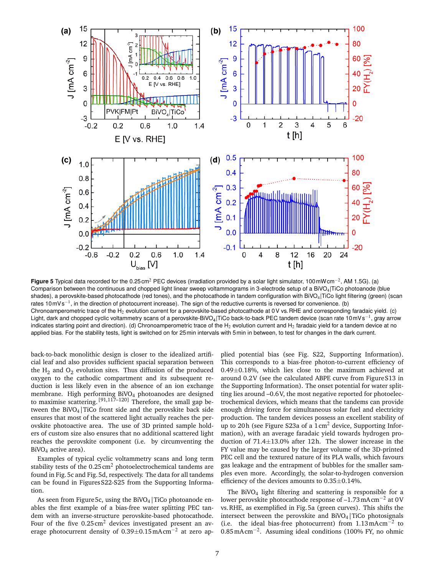

**Figure 5** Typical data recorded for the 0.25cm<sup>2</sup> PEC devices (irradiation provided by a solar light simulator, 100mW cm<sup>-2</sup>, AM 1.5G). (a) Comparison between the continuous and chopped light linear sweep voltammograms in 3-electrode setup of a BiVO $_4$ |TiCo photoanode (blue shades), a perovskite-based photocathode (red tones), and the photocathode in tandem configuration with BiVO<sub>4</sub>|TiCo light filtering (green) (scan rates 10mVs<sup>-1</sup>, in the direction of photocurrent increase). The sign of the reductive currents is reversed for convenience. (b) Chronoamperometric trace of the H<sub>2</sub> evolution current for a perovskite-based photocathode at 0V vs. RHE and corresponding faradaic yield. (c) Light, dark and chopped cyclic voltammetry scans of a perovskite-BiVO<sub>4</sub>|TiCo back-to-back PEC tandem device (scan rate 10mVs<sup>−1</sup>, gray arrow indicates starting point and direction). (d) Chronoamperometric trace of the H<sub>2</sub> evolution current and H<sub>2</sub> faradaic yield for a tandem device at no applied bias. For the stability tests, light is switched on for 25min intervals with 5min in between, to test for changes in the dark current.

back-to-back monolithic design is closer to the idealized artificial leaf and also provides sufficient spacial separation between the  $H_2$  and  $O_2$  evolution sites. Thus diffusion of the produced oxygen to the cathodic compartment and its subsequent reduction is less likely even in the absence of an ion exchange membrane. High performing BiVO4 photoanodes are designed to maximise scattering. [91,117–120] Therefore, the small gap between the BiVO<sub>4</sub>|TiCo front side and the perovskite back side ensures that most of the scattered light actually reaches the perovskite photoactive area. The use of 3D printed sample holders of custom size also ensures that no additional scattered light reaches the perovskite component (i.e. by circumventing the BiVO<sub>4</sub> active area).

Examples of typical cyclic voltammetry scans and long term stability tests of the  $0.25 \text{ cm}^2$  photoelectrochemical tandems are found in Fig.5c and Fig. 5d, respectively. The data for all tandems can be found in Figures S22-S25 from the Supporting Information.

As seen from Figure 5c, using the BiVO<sub>4</sub> TiCo photoanode enables the first example of a bias-free water splitting PEC tandem with an inverse-structure perovskite-based photocathode. Four of the five  $0.25 \text{ cm}^2$  devices investigated present an average photocurrent density of  $0.39 \pm 0.15$  mAcm<sup>-2</sup> at zero applied potential bias (see Fig. S22, Supporting Information). This corresponds to a bias-free photon-to-current efficiency of 0.49±0.18%, which lies close to the maximum achieved at around 0.2V (see the calculated ABPE curve from FigureS13 in the Supporting Information). The onset potential for water splitting lies around –0.6V, the most negative reported for photoelectrochemical devices, which means that the tandems can provide enough driving force for simultaneous solar fuel and electricity production. The tandem devices possess an excellent stability of up to 20h (see Figure S23a of a  $1 \text{ cm}^2$  device, Supporting Information), with an average faradaic yield towards hydrogen production of 71.4±13.0% after 12h. The slower increase in the FY value may be caused by the larger volume of the 3D-printed PEC cell and the textured nature of its PLA walls, which favours gas leakage and the entrapment of bubbles for the smaller samples even more. Accordingly, the solar-to-hydrogen conversion efficiency of the devices amounts to 0.35±0.14%.

The BiVO<sub>4</sub> light filtering and scattering is responsible for a lower perovskite photocathode response of –1.73mAcm−<sup>2</sup> at 0V vs.RHE, as exemplified in Fig.5a (green curves). This shifts the intersect between the perovskite and  $BiVO<sub>4</sub>$  TiCo photosignals (i.e. the ideal bias-free photocurrent) from  $1.13 \text{ mAcm}^{-2}$  to 0.85mAcm−<sup>2</sup> . Assuming ideal conditions (100% FY, no ohmic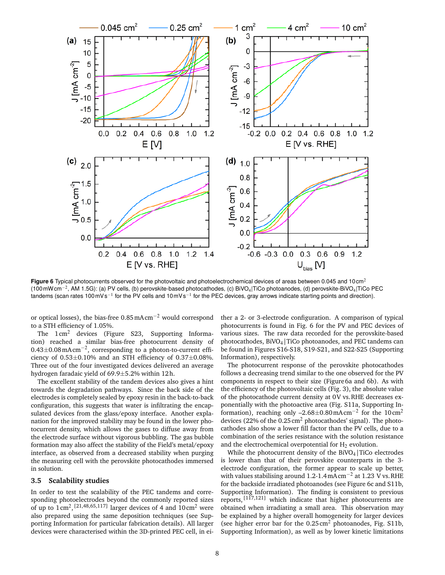

**Figure 6** Typical photocurrents observed for the photovoltaic and photoelectrochemical devices of areas between 0.045 and 10 cm<sup>2</sup> (100mWcm<sup>−2</sup>, AM 1.5G): (a) PV cells, (b) perovskite-based photocathodes, (c) BiVO<sub>4</sub>|TiCo photoanodes, (d) perovskite-BiVO<sub>4</sub>|TiCo PEC tandems (scan rates 100 mV s<sup>−1</sup> for the PV cells and 10 mV s<sup>−1</sup> for the PEC devices, gray arrows indicate starting points and direction).

or optical losses), the bias-free 0.85mAcm−<sup>2</sup> would correspond to a STH efficiency of 1.05%.

The  $1 \text{ cm}^2$  devices (Figure S23, Supporting Information) reached a similar bias-free photocurrent density of 0.43±0.08mAcm−<sup>2</sup> , corresponding to a photon-to-current efficiency of  $0.53\pm0.10$ % and an STH efficiency of  $0.37\pm0.08$ %. Three out of the four investigated devices delivered an average hydrogen faradaic yield of 69.9±5.2% within 12h.

The excellent stability of the tandem devices also gives a hint towards the degradation pathways. Since the back side of the electrodes is completely sealed by epoxy resin in the back-to-back configuration, this suggests that water is infiltrating the encapsulated devices from the glass/epoxy interface. Another explanation for the improved stability may be found in the lower photocurrent density, which allows the gases to diffuse away from the electrode surface without vigorous bubbling. The gas bubble formation may also affect the stability of the Field's metal/epoxy interface, as observed from a decreased stability when purging the measuring cell with the perovskite photocathodes immersed in solution.

## **3.5 Scalability studies**

In order to test the scalability of the PEC tandems and corresponding photoelectrodes beyond the commonly reported sizes of up to  $1 \text{ cm}^2$ ,  $[21,48,65,117]$  larger devices of 4 and  $10 \text{ cm}^2$  were also prepared using the same deposition techniques (see Supporting Information for particular fabrication details). All larger devices were characterised within the 3D-printed PEC cell, in either a 2- or 3-electrode configuration. A comparison of typical photocurrents is found in Fig. 6 for the PV and PEC devices of various sizes. The raw data recorded for the perovskite-based photocathodes,  $BiVO<sub>4</sub>$  TiCo photoanodes, and PEC tandems can be found in Figures S16-S18, S19-S21, and S22-S25 (Supporting Information), respectively.

The photocurrent response of the perovskite photocathodes follows a decreasing trend similar to the one observed for the PV components in respect to their size (Figure6a and 6b). As with the efficiency of the photovoltaic cells (Fig. 3), the absolute value of the photocathode current density at 0V vs.RHE decreases exponentially with the photoactive area (Fig. S11a, Supporting Information), reaching only  $-2.68 \pm 0.80$  mAcm<sup>-2</sup> for the 10cm<sup>2</sup> devices (22% of the 0.25 cm<sup>2</sup> photocathodes' signal). The photocathodes also show a lower fill factor than the PV cells, due to a combination of the series resistance with the solution resistance and the electrochemical overpotential for  $H_2$  evolution.

While the photocurrent density of the BiVO<sub>4</sub> TiCo electrodes is lower than that of their perovskite counterparts in the 3 electrode configuration, the former appear to scale up better, with values stabilising around 1.2-1.4mAcm<sup>-2</sup> at 1.23 V vs. RHE for the backside irradiated photoanodes (see Figure 6c and S11b, Supporting Information). The finding is consistent to previous reports, [117,121] which indicate that higher photocurrents are obtained when irradiating a small area. This observation may be explained by a higher overall homogeneity for larger devices (see higher error bar for the  $0.25 \text{ cm}^2$  photoanodes, Fig. S11b, Supporting Information), as well as by lower kinetic limitations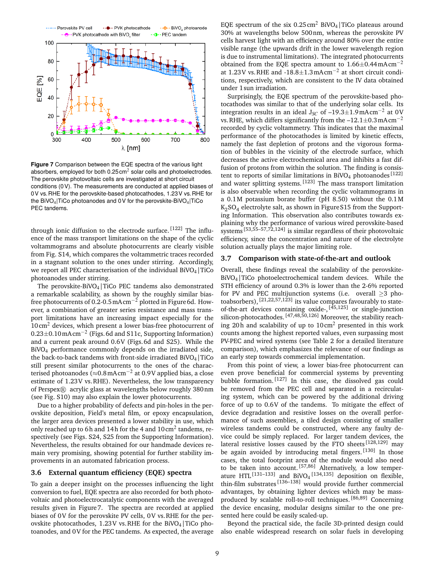

**Figure 7** Comparison between the EQE spectra of the various light absorbers, employed for both  $0.25 \text{ cm}^2$  solar cells and photoelectrodes. The perovskite photovoltaic cells are investigated at short circuit conditions (0V). The measurements are conducted at applied biases of 0V vs.RHE for the perovskite-based photocathodes, 1.23V vs.RHE for the BiVO4|TiCo photoanodes and 0V for the perovskite-BiVO4|TiCo PEC tandems.

through ionic diffusion to the electrode surface.  $[122]$  The influence of the mass transport limitations on the shape of the cyclic voltammograms and absolute photocurrents are clearly visible from Fig. S14, which compares the voltammetric traces recorded in a stagnant solution to the ones under stirring. Accordingly, we report all PEC characterisation of the individual BiVO<sub>4</sub>  $|TiCo$ photoanodes under stirring.

The perovskite-BiVO4|TiCo PEC tandems also demonstrated a remarkable scalability, as shown by the roughly similar biasfree photocurrents of 0.2-0.5 mAcm<sup>-2</sup> plotted in Figure 6d. However, a combination of greater series resistance and mass transport limitations have an increasing impact especially for the  $10 \text{ cm}^2$  devices, which present a lower bias-free photocurrent of 0.23±0.10mAcm−<sup>2</sup> (Figs.6d and S11c, Supporting Information) and a current peak around 0.6V (Figs.6d and S25). While the BiVO4 performance commonly depends on the irradiated side, the back-to-back tandems with front-side irradiated BiVO<sub>4</sub> | TiCo still present similar photocurrents to the ones of the characterised photoanodes ( $\approx 0.8$  mAcm<sup>-2</sup> at 0.9V applied bias, a close estimate of 1.23V vs.RHE). Nevertheless, the low transparency of Perspex $\mathbb R$  acrylic glass at wavelengths below roughly 380 nm (see Fig. S10) may also explain the lower photocurrents.

Due to a higher probability of defects and pin-holes in the perovskite deposition, Field's metal film, or epoxy encapsulation, the larger area devices presented a lower stability in use, which only reached up to 6h and 14h for the 4 and 10cm<sup>2</sup> tandems, respectively (see Figs. S24, S25 from the Supporting Information). Nevertheless, the results obtained for our handmade devices remain very promising, showing potential for further stability improvements in an automated fabrication process.

#### **3.6 External quantum efficiency (EQE) spectra**

To gain a deeper insight on the processes influencing the light conversion to fuel, EQE spectra are also recorded for both photovoltaic and photoelectrocatalytic components with the averaged results given in Figure7. The spectra are recorded at applied biases of 0V for the perovskite PV cells, 0V vs.RHE for the perovskite photocathodes,  $1.23V$  vs. RHE for the BiVO<sub>4</sub> TiCo photoanodes, and 0V for the PEC tandems. As expected, the average EQE spectrum of the six  $0.25 \text{ cm}^2$  BiVO<sub>4</sub> TiCo plateaus around 30% at wavelengths below 500nm, whereas the perovskite PV cells harvest light with an efficiency around 80% over the entire visible range (the upwards drift in the lower wavelength region is due to instrumental limitations). The integrated photocurrents obtained from the EQE spectra amount to  $1.66\pm0.44$  mAcm<sup>-2</sup> at 1.23V vs.RHE and -18.8±1.3mAcm−<sup>2</sup> at short circuit conditions, respectively, which are consistent to the IV data obtained under 1 sun irradiation.

Surprisingly, the EQE spectrum of the perovskite-based photocathodes was similar to that of the underlying solar cells. Its integration results in an ideal  $J<sub>SC</sub>$  of –19.3±1.9mAcm<sup>-2</sup> at 0V vs. RHE, which differs significantly from the  $-12.1\pm0.3$  mAcm<sup>-2</sup> recorded by cyclic voltammetry. This indicates that the maximal performance of the photocathodes is limited by kinetic effects, namely the fast depletion of protons and the vigorous formation of bubbles in the vicinity of the electrode surface, which decreases the active electrochemical area and inhibits a fast diffusion of protons from within the solution. The finding is consistent to reports of similar limitations in BiVO<sub>4</sub> photoanodes  $[122]$ and water splitting systems.  $[123]$  The mass transport limitation is also observable when recording the cyclic voltammograms in a 0.1M potassium borate buffer (pH 8.50) without the 0.1M  $\mathrm{K}_2\mathrm{SO}_4$  electrolyte salt, as shown in Figure S15 from the Supporting Information. This observation also contributes towards explaining why the performance of various wired perovskite-based systems [53,55–57,72,124] is similar regardless of their photovoltaic efficiency, since the concentration and nature of the electrolyte solution actually plays the major limiting role.

#### **3.7 Comparison with state-of-the-art and outlook**

Overall, these findings reveal the scalability of the perovskite-BiVO4|TiCo photoelectrochemical tandem devices. While the STH efficiency of around 0.3% is lower than the 2-6% reported for PV and PEC multijunction systems (i.e. overall ≥3 photoabsorbers),  $[21, 22, 57, 123]$  its value compares favourably to stateof-the-art devices containing oxide-,  $[45,125]$  or single-junction silicon-photocathodes. [47,48,50,126] Moreover, the stability reaching 20h and scalability of up to  $10 \text{ cm}^2$  presented in this work counts among the highest reported values, even surpassing most PV-PEC and wired systems (see Table 2 for a detailed literature comparison), which emphasizes the relevance of our findings as an early step towards commercial implementation.

From this point of view, a lower bias-free photocurrent can even prove beneficial for commercial systems by preventing bubble formation. [127] In this case, the dissolved gas could be removed from the PEC cell and separated in a recirculating system, which can be powered by the additional driving force of up to 0.6V of the tandems. To mitigate the effect of device degradation and resistive losses on the overall performance of such assemblies, a tiled design consisting of smaller wireless tandems could be constructed, where any faulty device could be simply replaced. For larger tandem devices, the lateral resistive losses caused by the FTO sheets [128,129] may be again avoided by introducing metal fingers. [130] In those cases, the total footprint area of the module would also need to be taken into account.<sup>[57,86]</sup> Alternatively, a low temperature HTL<sup>[131–133]</sup> and BiVO<sub>4</sub><sup>[134,135]</sup> deposition on flexible, thin-film substrates  $\begin{bmatrix} 136-138 \end{bmatrix}$  would provide further commercial advantages, by obtaining lighter devices which may be massproduced by scalable roll-to-roll techniques. [86,89] Concerning the device encasing, modular designs similar to the one presented here could be easily scaled-up.

Beyond the practical side, the facile 3D-printed design could also enable widespread research on solar fuels in developing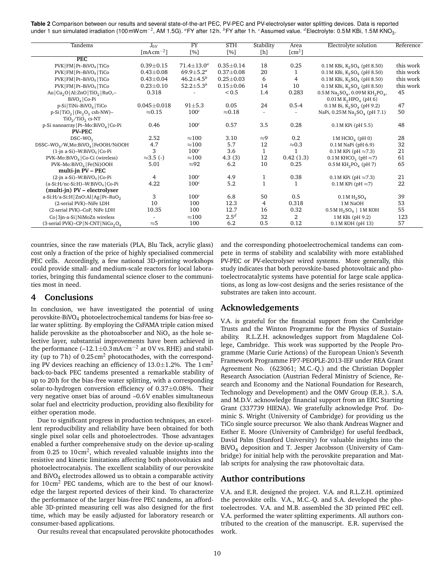**Table 2** Comparison between our results and several state-of-the-art PEC, PV-PEC and PV-electrolyser water splitting devices. Data is reported under 1 sun simulated irradiation (100mWcm<sup>−2</sup>, AM 1.5G). <sup>a</sup>FY after 12h. <sup>b</sup>FY after 1h. <sup>c</sup>Assumed value. <sup>d</sup>Electrolyte: 0.5M KBi, 1.5M KNO<sub>3</sub>.

| Tandems                                                                                         | $J_{0V}$                         | $\overline{FY}$             | <b>STH</b>      | Stability    | Area               | Electrolyte solution                                                              | Reference |
|-------------------------------------------------------------------------------------------------|----------------------------------|-----------------------------|-----------------|--------------|--------------------|-----------------------------------------------------------------------------------|-----------|
|                                                                                                 | $\lceil \text{mAcm}^{-2} \rceil$ | [%]                         | [%]             | [h]          | [cm <sup>2</sup> ] |                                                                                   |           |
| PEC                                                                                             |                                  |                             |                 |              |                    |                                                                                   |           |
| PVK   FM   Pt-BiVO <sub>4</sub>   TiCo                                                          | $0.39 + 0.15$                    | $71.4 \pm 13.0^a$           | $0.35 \pm 0.14$ | 18           | 0.25               | $0.1 M$ KBi, K <sub>2</sub> SO <sub>4</sub> (pH 8.50)                             | this work |
| PVK   FM   Pt-BiVO <sub>4</sub>   TiCo                                                          | $0.43 \pm 0.08$                  | 69.9 $\pm$ 5.2 <sup>a</sup> | $0.37 + 0.08$   | 20           | 1                  | $0.1 M$ KBi, K <sub>2</sub> SO <sub>4</sub> (pH 8.50)                             | this work |
| PVK   FM   Pt-BiVO <sub>4</sub>   TiCo                                                          | $0.43 \pm 0.04$                  | $46.2 \pm 4.5^b$            | $0.25 \pm 0.03$ | 6            | $\overline{4}$     | $0.1 M$ KBi, K <sub>2</sub> SO <sub>4</sub> (pH 8.50)                             | this work |
| PVK   FM   Pt-BiVO4   TiCo                                                                      | $0.23 \pm 0.10$                  | 52.2 $\pm$ 5.3 $^b$         | $0.15 + 0.06$   | 14           | 10                 | $0.1 M$ KBi, K <sub>2</sub> SO <sub>4</sub> (pH 8.50)                             | this work |
| Au $\left  \text{Cu}_2\text{O} \right $ Al:ZnO $\left  \text{TiO}_2 \right $ RuO <sub>x</sub> - | 0.318                            |                             | < 0.5           | 1.4          | 0.283              | $0.5 M$ Na <sub>2</sub> SO <sub>4</sub> , 0.09M KH <sub>2</sub> PO <sub>4</sub> , | 45        |
| BiVO <sub>4</sub>   Co-Pi                                                                       |                                  |                             |                 |              |                    | $0.01 M K2HPO4$ (pH 6)                                                            |           |
| p-Si   TiNi-BiVO <sub>4</sub>   TiCo                                                            | $0.045 \pm 0.018$                | $91 \pm 5.3$                | 0.05            | 24           | $0.5 - 4$          | $0.1 M$ Bi, $K_2SO_4$ (pH 9.2)                                                    | 47        |
| $p-Si   TiO2   (Fe2O3 csh-NW)$ -                                                                | $\approx 0.15$                   | 100 <sup>c</sup>            | $\approx 0.18$  | $\sim$       | $\sim$             | NaPi, 0.25 M Na <sub>2</sub> SO <sub>4</sub> (pH 7.1)                             | 50        |
| $TiO2/TiO2$ cs-NT                                                                               |                                  |                             |                 |              |                    |                                                                                   |           |
| p-Si nanoarray   Pt-Mo:BiVO <sub>4</sub>   Co-Pi                                                | 0.46                             | 100 <sup>c</sup>            | 0.57            | 3.5          | 0.28               | 0.1 M KPi (pH 5.5)                                                                | 48        |
| <b>PV-PEC</b>                                                                                   |                                  |                             |                 |              |                    |                                                                                   |           |
| $DSC-WO2$                                                                                       | 2.52                             | $\approx$ 100               | 3.10            | $\approx$ 9  | 0.2                | $1M$ HClO <sub>4</sub> (pH 0)                                                     | 28        |
| DSSC-WO <sub>3</sub> /W,Mo:BiVO <sub>4</sub>   FeOOH/NiOOH                                      | 4.7                              | ${\approx}100$              | 5.7             | 12           | $\approx 0.3$      | $0.1M$ NaPi (pH $6.9$ )                                                           | 32        |
| $(1$ -jn a-Si)-W:BiVO <sub>4</sub>   Co-Pi                                                      | 3                                | 100 <sup>c</sup>            | 3.6             | $\mathbf{1}$ | 1                  | $0.1M$ KPi (pH $\approx$ 7.3)                                                     | 21        |
| PVK-Mo:BiVO <sub>4</sub>   Co-Ci (wireless)                                                     | $\approx$ 3.5 (-)                | $\approx 100$               | 4.3(3)          | 12           | 0.42(1.3)          | $0.1M$ KHCO <sub>3</sub> (pH $\approx$ 7)                                         | 61        |
| $PVK-Mo:BiVO4$   Fe(Ni)OOH                                                                      | 5.01                             | $\approx 92$                | 6.2             | 10           | 0.25               | $0.5 M KH_2PO_4$ (pH 7)                                                           | 65        |
| multi-jn PV - PEC                                                                               |                                  |                             |                 |              |                    |                                                                                   |           |
| $(2\text{-}jn a-Si)$ -W:BiVO <sub>4</sub>   Co-Pi                                               | 4                                | 100 <sup>c</sup>            | 4.9             | 1            | 0.38               | $0.1M$ KPi (pH $\approx$ 7.3)                                                     | 21        |
| $(a-Si:H/nc-Si:H)$ -W:BiVO <sub>4</sub>   Co-Pi                                                 | 4.22                             | 100 <sup>c</sup>            | 5.2             | $\mathbf{1}$ | $\mathbf{1}$       | $0.1 M$ KPi (pH $\approx$ 7)                                                      | 22        |
| (multi-jn) PV – electrolyser                                                                    |                                  |                             |                 |              |                    |                                                                                   |           |
| $a-Si:H/a-Si:H ZnO:Al Ag Pt-RuO2$                                                               | 3                                | 100 <sup>c</sup>            | 6.8             | 50           | 0.5                | $0.1 M H_2SO_4$                                                                   | 39        |
| (2-serial PVK)-NiFe LDH                                                                         | 10                               | 100                         | 12.3            | 4            | 0.318              | 1 M NaOH                                                                          | 53        |
| (2-serial PVK)-CoP, NiFe LDH                                                                    | 10.35                            | 100                         | 12.7            | 16           | 0.32               | $0.5M H2SO4$   1M KOH                                                             | 55        |
| Co   3jn-a-Si   NiMoZn wireless                                                                 |                                  | $\approx$ 100               | $2.5^{d}$       | 32           | 2                  | 1M KBi (pH 9.2)                                                                   | 123       |
| (3-serial PVK)-CP   N-CNT   NiCo <sub>2</sub> O <sub>4</sub>                                    | $\approx$ 5                      | 100                         | 6.2             | 0.5          | 0.12               | 0.1 M KOH (pH 13)                                                                 | 57        |

countries, since the raw materials (PLA, Blu Tack, acrylic glass) cost only a fraction of the price of highly specialised commercial PEC cells. Accordingly, a few national 3D-printing workshops could provide small- and medium-scale reactors for local laboratories, bringing this fundamental science closer to the communities most in need.

# **4 Conclusions**

In conclusion, we have investigated the potential of using perovskite-BiVO4 photoelectrochemical tandems for bias-free solar water splitting. By employing the CsFAMA triple cation mixed halide perovskite as the photoabsorber and  $NiO<sub>x</sub>$  as the hole selective layer, substantial improvements have been achieved in the performance  $(-12.1 \pm 0.3 \text{ mA cm}^{-2}$  at 0V vs. RHE) and stability (up to 7h) of  $0.25 \text{ cm}^2$  photocathodes, with the corresponding PV devices reaching an efficiency of  $13.0 \pm 1.2$ %. The  $1 \text{ cm}^2$ back-to-back PEC tandems presented a remarkable stability of up to 20h for the bias-free water splitting, with a corresponding solar-to-hydrogen conversion efficiency of 0.37±0.08%. Their very negative onset bias of around –0.6V enables simultaneous solar fuel and electricity production, providing also flexibility for either operation mode.

Due to significant progress in production techniques, an excellent reproducibility and reliability have been obtained for both single pixel solar cells and photoelectrodes. Those advantages enabled a further comprehensive study on the device up-scaling from 0.25 to 10 cm<sup>2</sup>, which revealed valuable insights into the resistive and kinetic limitations affecting both photovoltaics and photoelectrocatalysis. The excellent scalability of our perovskite and BiVO<sub>4</sub> electrodes allowed us to obtain a comparable activity for 10cm<sup>2</sup> PEC tandems, which are to the best of our knowledge the largest reported devices of their kind. To characterize the performance of the larger bias-free PEC tandems, an affordable 3D-printed measuring cell was also designed for the first time, which may be easily adjusted for laboratory research or consumer-based applications.

Our results reveal that encapsulated perovskite photocathodes

and the corresponding photoelectrochemical tandems can compete in terms of stability and scalability with more established PV-PEC or PV-electrolyser wired systems. More generally, this study indicates that both perovskite-based photovoltaic and photoelectrocatalytic systems have potential for large scale applications, as long as low-cost designs and the series resistance of the substrates are taken into account.

# **Acknowledgements**

V.A. is grateful for the financial support from the Cambridge Trusts and the Winton Programme for the Physics of Sustainability. R.L.Z.H. acknowledges support from Magdalene College, Cambridge. This work was supported by the People Programme (Marie Curie Actions) of the European Union's Seventh Framework Programme FP7-PEOPLE-2013-IEF under REA Grant Agreement No. (623061; M.C.-Q.) and the Christian Doppler Research Association (Austrian Federal Ministry of Science, Research and Economy and the National Foundation for Research, Technology and Development) and the OMV Group (E.R.). S.A. and M.D.V. acknowledge financial support from an ERC Starting Grant (337739 HIENA). We gratefully acknowledge Prof. Dominic S. Wright (University of Cambridge) for providing us the TiCo single source precursor. We also thank Andreas Wagner and Esther E. Moore (University of Cambridge) for useful feedback, David Palm (Stanford University) for valuable insights into the BiVO<sup>4</sup> deposition and T. Jesper Jacobsson (University of Cambridge) for initial help with the perovskite preparation and Matlab scripts for analysing the raw photovoltaic data.

# **Author contributions**

V.A. and E.R. designed the project. V.A. and R.L.Z.H. optimized the perovskite cells. V.A., M.C.-Q. and S.A. developed the photoelectrodes. V.A. and M.B. assembled the 3D printed PEC cell. V.A. performed the water splitting experiments. All authors contributed to the creation of the manuscript. E.R. supervised the work.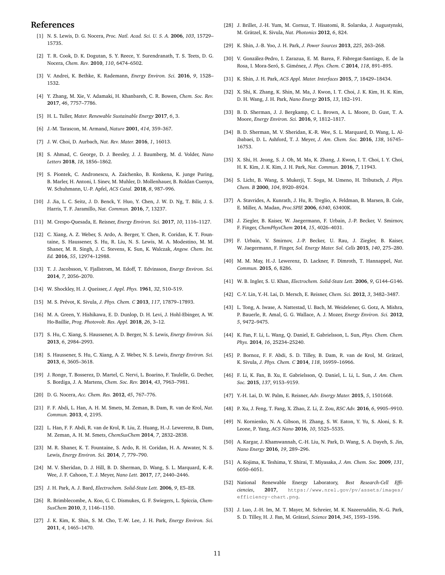# **References**

- [1] N. S. Lewis, D. G. Nocera, *Proc. Natl. Acad. Sci. U. S. A.* **2006**, *103*, 15729– 15735.
- [2] T. R. Cook, D. K. Dogutan, S. Y. Reece, Y. Surendranath, T. S. Teets, D. G. Nocera, *Chem. Rev.* **2010**, *110*, 6474–6502.
- [3] V. Andrei, K. Bethke, K. Rademann, *Energy Environ. Sci.* **2016**, *9*, 1528– 1532.
- [4] Y. Zhang, M. Xie, V. Adamaki, H. Khanbareh, C. R. Bowen, *Chem. Soc. Rev.* **2017**, *46*, 7757–7786.
- [5] H. L. Tuller, *Mater. Renewable Sustainable Energy* **2017**, *6*, 3.
- [6] J.-M. Tarascon, M. Armand, *Nature* **2001**, *414*, 359–367.
- [7] J. W. Choi, D. Aurbach, *Nat. Rev. Mater.* **2016**, *1*, 16013.
- [8] S. Ahmad, C. George, D. J. Beesley, J. J. Baumberg, M. d. Volder, *Nano Letters* **2018**, *18*, 1856–1862.
- [9] S. Piontek, C. Andronescu, A. Zaichenko, B. Konkena, K. junge Puring, B. Marler, H. Antoni, I. Sinev, M. Muhler, D. Mollenhauer, B. Roldan Cuenya, W. Schuhmann, U.-P. Apfel, *ACS Catal.* **2018**, *8*, 987–996.
- [10] J. Jia, L. C. Seitz, J. D. Benck, Y. Huo, Y. Chen, J. W. D. Ng, T. Bilir, J. S. Harris, T. F. Jaramillo, *Nat. Commun.* **2016**, *7*, 13237.
- [11] M. Crespo-Quesada, E. Reisner, *Energy Environ. Sci.* **2017**, *10*, 1116–1127.
- [12] C. Xiang, A. Z. Weber, S. Ardo, A. Berger, Y. Chen, R. Coridan, K. T. Fountaine, S. Haussener, S. Hu, R. Liu, N. S. Lewis, M. A. Modestino, M. M. Shaner, M. R. Singh, J. C. Stevens, K. Sun, K. Walczak, *Angew. Chem. Int. Ed.* **2016**, *55*, 12974–12988.
- [13] T. J. Jacobsson, V. Fjallstrom, M. Edoff, T. Edvinsson, *Energy Environ. Sci.* **2014**, *7*, 2056–2070.
- [14] W. Shockley, H. J. Queisser, *J. Appl. Phys.* **1961**, *32*, 510–519.
- [15] M. S. Prévot, K. Sivula, *J. Phys. Chem. C* **2013**, *117*, 17879–17893.
- [16] M. A. Green, Y. Hishikawa, E. D. Dunlop, D. H. Levi, J. Hohl-Ebinger, A. W. Ho-Baillie, *Prog. Photovolt. Res. Appl.* **2018**, *26*, 3–12.
- [17] S. Hu, C. Xiang, S. Haussener, A. D. Berger, N. S. Lewis, *Energy Environ. Sci.* **2013**, *6*, 2984–2993.
- [18] S. Haussener, S. Hu, C. Xiang, A. Z. Weber, N. S. Lewis, *Energy Environ. Sci.* **2013**, *6*, 3605–3618.
- [19] J. Ronge, T. Bosserez, D. Martel, C. Nervi, L. Boarino, F. Taulelle, G. Decher, S. Bordiga, J. A. Martens, *Chem. Soc. Rev.* **2014**, *43*, 7963–7981.
- [20] D. G. Nocera, *Acc. Chem. Res.* **2012**, *45*, 767–776.
- [21] F. F. Abdi, L. Han, A. H. M. Smets, M. Zeman, B. Dam, R. van de Krol, *Nat. Commun.* **2013**, *4*, 2195.
- [22] L. Han, F. F. Abdi, R. van de Krol, R. Liu, Z. Huang, H.-J. Lewerenz, B. Dam, M. Zeman, A. H. M. Smets, *ChemSusChem* **2014**, *7*, 2832–2838.
- [23] M. R. Shaner, K. T. Fountaine, S. Ardo, R. H. Coridan, H. A. Atwater, N. S. Lewis, *Energy Environ. Sci.* **2014**, *7*, 779–790.
- [24] M. V. Sheridan, D. J. Hill, B. D. Sherman, D. Wang, S. L. Marquard, K.-R. Wee, J. F. Cahoon, T. J. Meyer, *Nano Lett.* **2017**, *17*, 2440–2446.
- [25] J. H. Park, A. J. Bard, *Electrochem. Solid-State Lett.* **2006**, *9*, E5–E8.
- [26] R. Brimblecombe, A. Koo, G. C. Dismukes, G. F. Swiegers, L. Spiccia, *Chem-SusChem* **2010**, *3*, 1146–1150.
- [27] J. K. Kim, K. Shin, S. M. Cho, T.-W. Lee, J. H. Park, *Energy Environ. Sci.* **2011**, *4*, 1465–1470.
- [28] J. Brillet, J.-H. Yum, M. Cornuz, T. Hisatomi, R. Solarska, J. Augustynski, M. Grätzel, K. Sivula, *Nat. Photonics* **2012**, *6*, 824.
- [29] K. Shin, J.-B. Yoo, J. H. Park, *J. Power Sources* **2013**, *225*, 263–268.
- [30] V. González-Pedro, I. Zarazua, E. M. Barea, F. Fabregat-Santiago, E. de la Rosa, I. Mora-Seró, S. Giménez, *J. Phys. Chem. C* **2014**, *118*, 891–895.
- [31] K. Shin, J. H. Park, *ACS Appl. Mater. Interfaces* **2015**, *7*, 18429–18434.
- [32] X. Shi, K. Zhang, K. Shin, M. Ma, J. Kwon, I. T. Choi, J. K. Kim, H. K. Kim, D. H. Wang, J. H. Park, *Nano Energy* **2015**, *13*, 182–191.
- [33] B. D. Sherman, J. J. Bergkamp, C. L. Brown, A. L. Moore, D. Gust, T. A. Moore, *Energy Environ. Sci.* **2016**, *9*, 1812–1817.
- [34] B. D. Sherman, M. V. Sheridan, K.-R. Wee, S. L. Marquard, D. Wang, L. Alibabaei, D. L. Ashford, T. J. Meyer, *J. Am. Chem. Soc.* **2016**, *138*, 16745– 16753.
- [35] X. Shi, H. Jeong, S. J. Oh, M. Ma, K. Zhang, J. Kwon, I. T. Choi, I. Y. Choi, H. K. Kim, J. K. Kim, J. H. Park, *Nat. Commun.* **2016**, *7*, 11943.
- [36] S. Licht, B. Wang, S. Mukerji, T. Soga, M. Umeno, H. Tributsch, *J. Phys. Chem. B* **2000**, *104*, 8920–8924.
- [37] A. Stavrides, A. Kunrath, J. Hu, R. Treglio, A. Feldman, B. Marsen, B. Cole, E. Miller, A. Madan, *Proc.SPIE* **2006**, *6340*, 63400K.
- [38] J. Ziegler, B. Kaiser, W. Jaegermann, F. Urbain, J.-P. Becker, V. Smirnov, F. Finger, *ChemPhysChem* **2014**, *15*, 4026–4031.
- [39] F. Urbain, V. Smirnov, J.-P. Becker, U. Rau, J. Ziegler, B. Kaiser, W. Jaegermann, F. Finger, *Sol. Energy Mater. Sol. Cells* **2015**, *140*, 275–280.
- [40] M. M. May, H.-J. Lewerenz, D. Lackner, F. Dimroth, T. Hannappel, *Nat. Commun.* **2015**, *6*, 8286.
- [41] W. B. Ingler, S. U. Khan, *Electrochem. Solid-State Lett.* **2006**, *9*, G144–G146.
- [42] C.-Y. Lin, Y.-H. Lai, D. Mersch, E. Reisner, *Chem. Sci.* **2012**, *3*, 3482–3487.
- [43] L. Tong, A. Iwase, A. Nattestad, U. Bach, M. Weidelener, G. Gotz, A. Mishra, P. Bauerle, R. Amal, G. G. Wallace, A. J. Mozer, *Energy Environ. Sci.* **2012**, *5*, 9472–9475.
- [44] K. Fan, F. Li, L. Wang, Q. Daniel, E. Gabrielsson, L. Sun, *Phys. Chem. Chem. Phys.* **2014**, *16*, 25234–25240.
- [45] P. Bornoz, F. F. Abdi, S. D. Tilley, B. Dam, R. van de Krol, M. Grätzel, K. Sivula, *J. Phys. Chem. C* **2014**, *118*, 16959–16966.
- [46] F. Li, K. Fan, B. Xu, E. Gabrielsson, Q. Daniel, L. Li, L. Sun, *J. Am. Chem. Soc.* **2015**, *137*, 9153–9159.
- [47] Y.-H. Lai, D. W. Palm, E. Reisner, *Adv. Energy Mater.* **2015**, *5*, 1501668.
- [48] P. Xu, J. Feng, T. Fang, X. Zhao, Z. Li, Z. Zou, *RSC Adv.* **2016**, *6*, 9905–9910.
- [49] N. Kornienko, N. A. Gibson, H. Zhang, S. W. Eaton, Y. Yu, S. Aloni, S. R. Leone, P. Yang, *ACS Nano* **2016**, *10*, 5525–5535.
- [50] A. Kargar, J. Khamwannah, C.-H. Liu, N. Park, D. Wang, S. A. Dayeh, S. Jin, *Nano Energy* **2016**, *19*, 289–296.
- [51] A. Kojima, K. Teshima, Y. Shirai, T. Miyasaka, *J. Am. Chem. Soc.* **2009**, *131*, 6050–6051.
- [52] National Renewable Energy Laboratory, *Best Research-Cell Efficiencies*, **2017**, https://www.nrel.gov/pv/assets/images/ efficiency-chart.png.
- [53] J. Luo, J.-H. Im, M. T. Mayer, M. Schreier, M. K. Nazeeruddin, N.-G. Park, S. D. Tilley, H. J. Fan, M. Grätzel, *Science* **2014**, *345*, 1593–1596.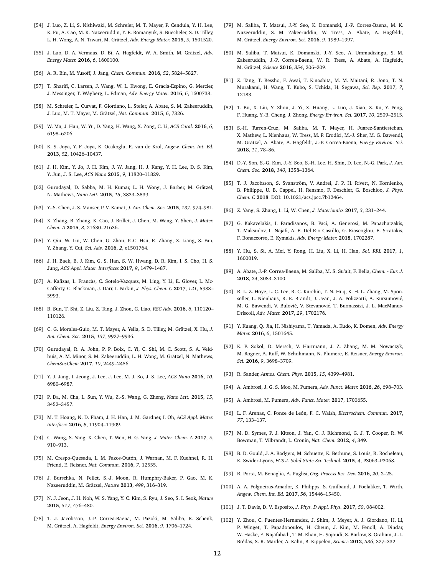- [54] J. Luo, Z. Li, S. Nishiwaki, M. Schreier, M. T. Mayer, P. Cendula, Y. H. Lee, K. Fu, A. Cao, M. K. Nazeeruddin, Y. E. Romanyuk, S. Buecheler, S. D. Tilley, L. H. Wong, A. N. Tiwari, M. Grätzel, *Adv. Energy Mater.* **2015**, *5*, 1501520.
- [55] J. Luo, D. A. Vermaas, D. Bi, A. Hagfeldt, W. A. Smith, M. Grätzel, *Adv. Energy Mater.* **2016**, *6*, 1600100.
- [56] A. R. Bin, M. Yusoff, J. Jang, *Chem. Commun.* **2016**, *52*, 5824–5827.
- [57] T. Sharifi, C. Larsen, J. Wang, W. L. Kwong, E. Gracia-Espino, G. Mercier, J. Messinger, T. Wågberg, L. Edman, *Adv. Energy Mater.* **2016**, *6*, 1600738.
- [58] M. Schreier, L. Curvat, F. Giordano, L. Steier, A. Abate, S. M. Zakeeruddin, J. Luo, M. T. Mayer, M. Grätzel, *Nat. Commun.* **2015**, *6*, 7326.
- [59] W. Ma, J. Han, W. Yu, D. Yang, H. Wang, X. Zong, C. Li, *ACS Catal.* **2016**, *6*, 6198–6206.
- [60] K. S. Joya, Y. F. Joya, K. Ocakoglu, R. van de Krol, *Angew. Chem. Int. Ed.* **2013**, *52*, 10426–10437.
- [61] J. H. Kim, Y. Jo, J. H. Kim, J. W. Jang, H. J. Kang, Y. H. Lee, D. S. Kim, Y. Jun, J. S. Lee, *ACS Nano* **2015**, *9*, 11820–11829.
- [62] Gurudayal, D. Sabba, M. H. Kumar, L. H. Wong, J. Barber, M. Grätzel, N. Mathews, *Nano Lett.* **2015**, *15*, 3833–3839.
- [63] Y.-S. Chen, J. S. Manser, P. V. Kamat, *J. Am. Chem. Soc.* **2015**, *137*, 974–981.
- [64] X. Zhang, B. Zhang, K. Cao, J. Brillet, J. Chen, M. Wang, Y. Shen, *J. Mater. Chem. A* **2015**, *3*, 21630–21636.
- [65] Y. Qiu, W. Liu, W. Chen, G. Zhou, P.-C. Hsu, R. Zhang, Z. Liang, S. Fan, Y. Zhang, Y. Cui, *Sci. Adv.* **2016**, *2*, e1501764.
- [66] J. H. Baek, B. J. Kim, G. S. Han, S. W. Hwang, D. R. Kim, I. S. Cho, H. S. Jung, *ACS Appl. Mater. Interfaces* **2017**, *9*, 1479–1487.
- [67] A. Kafizas, L. Francàs, C. Sotelo-Vazquez, M. Ling, Y. Li, E. Glover, L. Mc-Cafferty, C. Blackman, J. Darr, I. Parkin, *J. Phys. Chem. C* **2017**, *121*, 5983– 5993.
- [68] B. Sun, T. Shi, Z. Liu, Z. Tang, J. Zhou, G. Liao, *RSC Adv.* **2016**, *6*, 110120– 110126.
- [69] C. G. Morales-Guio, M. T. Mayer, A. Yella, S. D. Tilley, M. Grätzel, X. Hu, *J. Am. Chem. Soc.* **2015**, *137*, 9927–9936.
- [70] Gurudayal, R. A. John, P. P. Boix, C. Yi, C. Shi, M. C. Scott, S. A. Veldhuis, A. M. Minor, S. M. Zakeeruddin, L. H. Wong, M. Grätzel, N. Mathews, *ChemSusChem* **2017**, *10*, 2449–2456.
- [71] Y. J. Jang, I. Jeong, J. Lee, J. Lee, M. J. Ko, J. S. Lee, *ACS Nano* **2016**, *10*, 6980–6987.
- [72] P. Da, M. Cha, L. Sun, Y. Wu, Z.-S. Wang, G. Zheng, *Nano Lett.* **2015**, *15*, 3452–3457.
- [73] M. T. Hoang, N. D. Pham, J. H. Han, J. M. Gardner, I. Oh, *ACS Appl. Mater. Interfaces* **2016**, *8*, 11904–11909.
- [74] C. Wang, S. Yang, X. Chen, T. Wen, H. G. Yang, *J. Mater. Chem. A* **2017**, *5*, 910–913.
- [75] M. Crespo-Quesada, L. M. Pazos-Outón, J. Warnan, M. F. Kuehnel, R. H. Friend, E. Reisner, *Nat. Commun.* **2016**, *7*, 12555.
- [76] J. Burschka, N. Pellet, S.-J. Moon, R. Humphry-Baker, P. Gao, M. K. Nazeeruddin, M. Grätzel, *Nature* **2013**, *499*, 316–319.
- [77] N. J. Jeon, J. H. Noh, W. S. Yang, Y. C. Kim, S. Ryu, J. Seo, S. I. Seok, *Nature* **2015**, *517*, 476–480.
- [78] T. J. Jacobsson, J.-P. Correa-Baena, M. Pazoki, M. Saliba, K. Schenk, M. Grätzel, A. Hagfeldt, *Energy Environ. Sci.* **2016**, *9*, 1706–1724.
- [79] M. Saliba, T. Matsui, J.-Y. Seo, K. Domanski, J.-P. Correa-Baena, M. K. Nazeeruddin, S. M. Zakeeruddin, W. Tress, A. Abate, A. Hagfeldt, M. Grätzel, *Energy Environ. Sci.* **2016**, *9*, 1989–1997.
- [80] M. Saliba, T. Matsui, K. Domanski, J.-Y. Seo, A. Ummadisingu, S. M. Zakeeruddin, J.-P. Correa-Baena, W. R. Tress, A. Abate, A. Hagfeldt, M. Grätzel, *Science* **2016**, *354*, 206–209.
- [81] Z. Tang, T. Bessho, F. Awai, T. Kinoshita, M. M. Maitani, R. Jono, T. N. Murakami, H. Wang, T. Kubo, S. Uchida, H. Segawa, *Sci. Rep.* **2017**, *7*, 12183.
- [82] T. Bu, X. Liu, Y. Zhou, J. Yi, X. Huang, L. Luo, J. Xiao, Z. Ku, Y. Peng, F. Huang, Y.-B. Cheng, J. Zhong, *Energy Environ. Sci.* **2017**, *10*, 2509–2515.
- [83] S.-H. Turren-Cruz, M. Saliba, M. T. Mayer, H. Juarez-Santiesteban, X. Mathew, L. Nienhaus, W. Tress, M. P. Erodici, M.-J. Sher, M. G. Bawendi, M. Grätzel, A. Abate, A. Hagfeldt, J.-P. Correa-Baena, *Energy Environ. Sci.* **2018**, *11*, 78–86.
- [84] D.-Y. Son, S.-G. Kim, J.-Y. Seo, S.-H. Lee, H. Shin, D. Lee, N.-G. Park, *J. Am. Chem. Soc.* **2018**, *140*, 1358–1364.
- [85] T. J. Jacobsson, S. Svanström, V. Andrei, J. P. H. Rivett, N. Kornienko, B. Philippe, U. B. Cappel, H. Rensmo, F. Deschler, G. Boschloo, *J. Phys. Chem. C* **2018**. DOI: 10.1021/acs.jpcc.7b12464.
- [86] Z. Yang, S. Zhang, L. Li, W. Chen, *J. Materiomics* **2017**, *3*, 231–244.
- [87] G. Kakavelakis, I. Paradisanos, B. Paci, A. Generosi, M. Papachatzakis, T. Maksudov, L. Najafi, A. E. Del Rio Castillo, G. Kioseoglou, E. Stratakis, F. Bonaccorso, E. Kymakis, *Adv. Energy Mater.* **2018**, 1702287.
- [88] Y. Hu, S. Si, A. Mei, Y. Rong, H. Liu, X. Li, H. Han, *Sol. RRL* **2017**, *1*, 1600019.
- [89] A. Abate, J.-P. Correa-Baena, M. Saliba, M. S. Su'ait, F. Bella, *Chem. Eur. J.* **2018**, *24*, 3083–3100.
- [90] R. L. Z. Hoye, L. C. Lee, R. C. Kurchin, T. N. Huq, K. H. L. Zhang, M. Sponseller, L. Nienhaus, R. E. Brandt, J. Jean, J. A. Polizzotti, A. Kursumović, M. G. Bawendi, V. Bulović, V. Stevanović, T. Buonassisi, J. L. MacManus-Driscoll, *Adv. Mater.* **2017**, *29*, 1702176.
- [91] Y. Kuang, Q. Jia, H. Nishiyama, T. Yamada, A. Kudo, K. Domen, *Adv. Energy Mater.* **2016**, *6*, 1501645.
- [92] K. P. Sokol, D. Mersch, V. Hartmann, J. Z. Zhang, M. M. Nowaczyk, M. Rogner, A. Ruff, W. Schuhmann, N. Plumere, E. Reisner, *Energy Environ. Sci.* **2016**, *9*, 3698–3709.
- [93] R. Sander, *Atmos. Chem. Phys.* **2015**, *15*, 4399–4981.
- [94] A. Ambrosi, J. G. S. Moo, M. Pumera, *Adv. Funct. Mater.* **2016**, *26*, 698–703.
- [95] A. Ambrosi, M. Pumera, *Adv. Funct. Mater.* **2017**, 1700655.
- [96] L. F. Arenas, C. Ponce de León, F. C. Walsh, *Electrochem. Commun.* **2017**, *77*, 133–137.
- [97] M. D. Symes, P. J. Kitson, J. Yan, C. J. Richmond, G. J. T. Cooper, R. W. Bowman, T. Vilbrandt, L. Cronin, *Nat. Chem.* **2012**, *4*, 349.
- [98] B. D. Gould, J. A. Rodgers, M. Schuette, K. Bethune, S. Louis, R. Rocheleau, K. Swider-Lyons, *ECS J. Solid State Sci. Technol.* **2015**, *4*, P3063–P3068.
- [99] R. Porta, M. Benaglia, A. Puglisi, *Org. Process Res. Dev.* **2016**, *20*, 2–25.
- [100] A. A. Folgueiras-Amador, K. Philipps, S. Guilbaud, J. Poelakker, T. Wirth, *Angew. Chem. Int. Ed.* **2017**, *56*, 15446–15450.
- [101] J. T. Davis, D. V. Esposito, *J. Phys. D Appl. Phys.* **2017**, *50*, 084002.
- [102] Y. Zhou, C. Fuentes-Hernandez, J. Shim, J. Meyer, A. J. Giordano, H. Li, P. Winget, T. Papadopoulos, H. Cheun, J. Kim, M. Fenoll, A. Dindar, W. Haske, E. Najafabadi, T. M. Khan, H. Sojoudi, S. Barlow, S. Graham, J.-L. Brédas, S. R. Marder, A. Kahn, B. Kippelen, *Science* **2012**, *336*, 327–332.